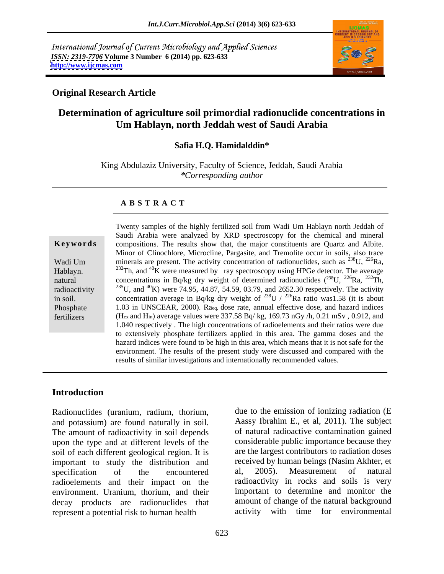International Journal of Current Microbiology and Applied Sciences *ISSN: 2319-7706* **Volume 3 Number 6 (2014) pp. 623-633 <http://www.ijcmas.com>**



## **Original Research Article**

## **Determination of agriculture soil primordial radionuclide concentrations in Um Hablayn, north Jeddah west of Saudi Arabia**

## **Safia H.Q. Hamidalddin\***

King Abdulaziz University, Faculty of Science, Jeddah, Saudi Arabia *\*Corresponding author*

## **A B S T R A C T**

**Keywords** compositions. The results show that, the major constituents are Quartz and Albite. Wadi Um minerals are present. The activity concentration of radionuclides, such as  $^{238}$ U,  $^{226}$ Ra, Hablayn. <sup>232</sup>Th, and <sup>40</sup>K were measured by -ray spectroscopy using HPGe detector. The average natural concentrations in Bq/kg dry weight of determined radionuclides  $(^{238}U, ^{226}Ra, ^{232}Th,$ radioactivity  $^{235}$ U, and  $^{40}$ K) were 74.95, 44.87, 54.59, 03.79, and 2652.30 respectively. The activity in soil. concentration average in Bq/kg dry weight of  $^{238}$ U /  $^{226}$ Ra ratio was1.58 (it is about Phosphate 1.03 in UNSCEAR, 2000). Raeq, dose rate, annual effective dose, and hazard indices fertilizers (Hex and Hin) average values were 337.58 Bq/ kg, 169.73 nGy /h, 0.21 mSv , 0.912, and Twenty samples of the highly fertilized soil from Wadi Um Hablayn north Jeddah of Saudi Arabia were analyzed by XRD spectroscopy for the chemical and mineral Minor of Clinochlore, Microcline, Pargasite, and Tremolite occur in soils, also trace  $^{238}$ U,  $^{226}$ Ra, 1.040 respectively . The high concentrations of radioelements and theirratios were due to extensively phosphate fertilizers applied in this area. The gamma doses and the hazard indices were found to be high in this area, which means that it is not safe for the environment. The results of the present study were discussed and compared with the results of similar investigations and internationally recommended values.

## **Introduction**

Radionuclides (uranium, radium, thorium, and potassium) are found naturally in soil. The amount of radioactivity in soil depends upon the type and at different levels of the soil of each different geological region. It is important to study the distribution and received by human beings (Nasim Akhter, et specification of the encountered al. 2005). Measurement of natural specification of the encountered al, 2005). Measurement of natural radioelements and their impact on the environment. Uranium, thorium, and their decay products are radionuclides that represent a potential risk to human health

due to the emission of ionizing radiation (E Aassy Ibrahim E., et al, 2011). The subject of natural radioactive contamination gained considerable public importance because they are the largest contributors to radiation doses received by human beings (Nasim Akhter, et al, 2005). Measurement of natural radioactivity in rocks and soils is very important to determine and monitor the amount of change of the natural background activity with time for environmental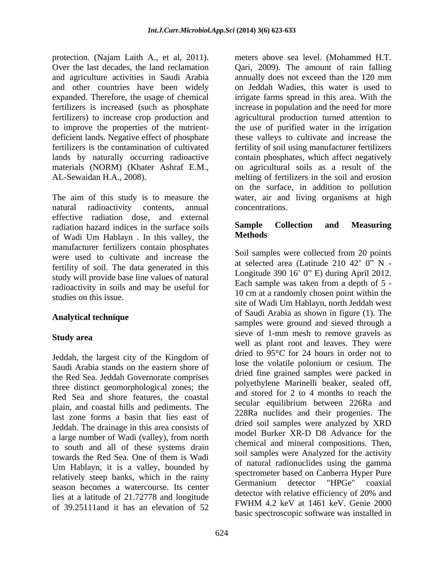protection. (Najam Laith A., et al, 2011). materials (NORM) (Khater Ashraf E.M.,

The aim of this study is to measure the natural radioactivity contents, annual effective radiation dose, and external<br>radiation hazard indices in the surface soils **Sample Collection and Measuring** radiation hazard indices in the surface soils<br>of Wodi Um Hoblayn In this valley the **Methods** of Wadi Um Hablayn . In this valley, the manufacturer fertilizers contain phosphates were used to cultivate and increase the fertility of soil. The data generated in this study will provide base line values of natural radioactivity in soils and may be useful for

Jeddah, the largest city of the Kingdom of Saudi Arabia stands on the eastern shore of the Red Sea. Jeddah Governorate comprises three distinct geomorphological zones; the Red Sea and shore features, the coastal plain, and coastal hills and pediments. The last zone forms a basin that lies east of Jeddah. The drainage in this area consists of a large number of Wadi (valley), from north to south and all of these systems drain Um Hablayn, it is a valley, bounded by relatively steep banks, which in the rainy<br>Germanium detector "HPGe" coaxial season becomes a watercourse. Its center<br>detector with relative efficiency of 20% and<br>detector with relative efficiency of 20% and lies at a latitude of 21.72778 and longitude<br>
EWHM 4.2 keV at 1461 keV. Genie 2000 of 39.25111and it has an elevation of 52

Over the last decades, the land reclamation Qari, 2009). The amount of rain falling and agriculture activities in Saudi Arabia annually does not exceed than the 120 mm and other countries have been widely on Jeddah Wadies, this water is used to expanded. Therefore, the usage of chemical irrigate farms spread in this area. With the fertilizers is increased (such as phosphate increase in population and the need for more fertilizers) to increase crop production and agricultural production turned attention to to improve the properties of the nutrient- the use of purified water in the irrigation deficient lands. Negative effect of phosphate these valleys to cultivate and increase the fertilizers is the contamination of cultivated fertility of soil using manufacturer fertilizers lands by naturally occurring radioactive contain phosphates, which affect negatively AL-Sewaidan H.A., 2008). melting of fertilizers in the soil and erosion meters above sea level. (Mohammed H.T. on agricultural soils as a result of the on the surface, in addition to pollution water, air and living organisms at high concentrations.

## **Sample Collection and Measuring Methods**

studies on this issue.<br> $\frac{10 \text{ cm at a randomity chosen point within the}}{6 \text{ W}}$ Analytical technique **and the contract of Saudi Arabia** as shown in rigue (1). The **Study area Study area sieve** of 1-mm mesh to remove gravels as towards the Red Sea. One of them is Wadi<br>the search and interest in the search of a search the search of the search of the search of the search of the search of the search of the search of the search of the search of the s Soil samples were collected from 20 points at selected area (Latitude  $210$  42' 0" N -Longitude 390  $16'$  0" E) during April 2012. Each sample was taken from a depth of 5 - 10 cm at a randomly chosen point within the site of Wadi Um Hablayn, north Jeddah west of Saudi Arabia as shown in figure (1). The samples were ground and sieved through a well as plant root and leaves. They were dried to 95°*C* for 24 hours in order not to lose the volatile polonium or cesium. The dried fine grained samples were packed in polyethylene Marinelli beaker, sealed off, and stored for 2 to 4 months to reach the secular equilibrium between 226Ra and 228Ra nuclides and their progenies. The dried soil samples were analyzed by XRD model Burker XR-D D8 Advance for the chemical and mineral compositions. Then, soil samples were Analyzed for the activity of natural radionuclides using the gamma spectrometer based on Canberra Hyper Pure Germanium detector "HPGe" coaxial detector with relative efficiency of 20% and FWHM 4.2 keV at 1461 keV. Genie 2000 basic spectroscopic software was installed in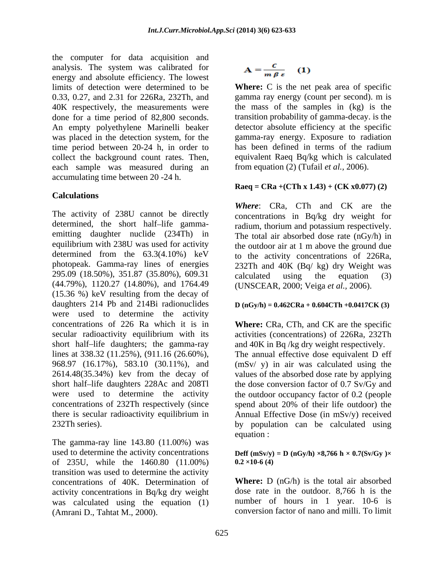the computer for data acquisition and analysis. The system was calibrated for energy and absolute efficiency. The lowest 0.33, 0.27, and 2.31 for 226Ra, 232Th, and gamma ray energy (count per second), m is 40K respectively, the measurements were done for a time period of 82,800 seconds. An empty polyethylene Marinelli beaker time period between 20-24 h, in order to has been defined in terms of the radium collect the background count rates. Then, each sample was measured during an accumulating time between 20 -24 h.

## **Calculations**

The activity of 238U cannot be directly determined, the short half-life gamma-<br>radium, thorium and potassium respectively. emitting daughter nuclide (234Th) in equilibrium with 238U was used for activity the outdoor air at 1 m above the ground due determined from the 63.3(4.10%) keV to the activity concentrations of 226Ra, photopeak. Gamma-ray lines of energies 295.09 (18.50%), 351.87 (35.80%), 609.31 (44.79%), 1120.27 (14.80%), and 1764.49 (15.36 %) keV resulting from the decay of daughters 214 Pb and 214Bi radionuclides  $D(nGy/h) = 0.462CRa + 0.604CTh + 0.0417CK$  (3) were used to determine the activity concentrations of 226 Ra which it is in **Where:** CRa, CTh, and CK are the specific secular radioactivity equilibrium with its activities (concentrations) of 226Ra, 232Th short half-life daughters; the gamma-ray and 40K in Bq /kg dry weight respectively. lines at 338.32 (11.25%), (911.16 (26.60%), The annual effective dose equivalent D eff 968.97 (16.17%), 583.10 (30.11%), and (mSv/ y) in air was calculated using the 2614.48(35.34%) kev from the decay of short half-life daughters 228Ac and 208Tl the dose conversion factor of 0.7 Sv/Gy and were used to determine the activity the outdoor occupancy factor of 0.2 (people concentrations of 232Th respectively (since spend about 20% of their life outdoor) the there is secular radioactivity equilibrium in Annual Effective Dose (in mSv/y) received

The gamma-ray line 143.80 (11.00%) was used to determine the activity concentrations Deff  $(mSv/y) = D (nGy/h) \times 8,766 h \times 0.7(Sv/Gy) \times$ of 235U, while the  $1460.80$   $(11.00\%)$   $0.2 \times 10.6$  (4) transition was used to determine the activity concentrations of 40K. Determination of activity concentrations in Bq/kg dry weight was calculated using the equation (1) (Amrani D., Tahtat M., 2000). conversion factor of nano and milli. To limit

$$
A = \frac{c}{m \beta \epsilon} \quad (1)
$$

limits of detection were determined to be **Where:** C is the net peak area of specific was placed in the detection system, for the gamma-ray energy. Exposure to radiation gamma ray energy (count per second). m is the mass of the samples in (kg) is the transition probability of gamma-decay. is the detector absolute efficiency at the specific has been defined in terms of the radium equivalent Raeq Bq/kg which is calculated from equation (2) (Tufail *et al.,* 2006).

## **Raeq = CRa +(CTh x 1.43) + (CK x0.077) (2)**

*Where*: CRa, CTh and CK are the concentrations in Bq/kg dry weight for The total air absorbed dose rate (nGy/h) in 232Th and 40K (Bq/ kg) dry Weight was calculated using the equation (3) (UNSCEAR, 2000; Veiga *et al.,* 2006).

232Th series). by population can be calculated using values of the absorbed dose rate by applying equation :  $\blacksquare$ 

# **0.2 ×10-6 (4)**

**Where:** D (nG/h) is the total air absorbed dose rate in the outdoor. 8,766 h is the number of hours in 1 year. 10-6 is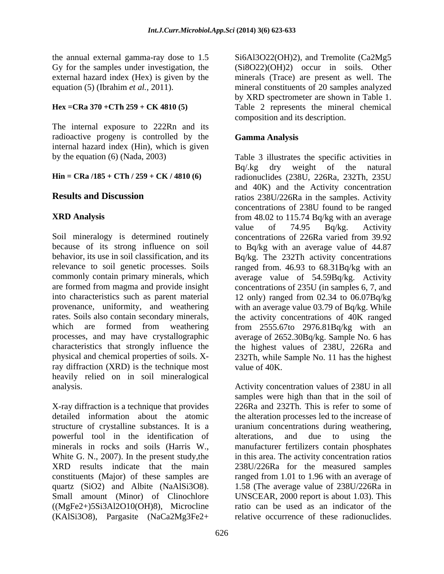the annual external gamma-ray dose to 1.5

The internal exposure to 222Rn and its radioactive progeny is controlled by the internal hazard index (Hin), which is given

ray diffraction (XRD) is the technique most value of 40K. heavily relied on in soil mineralogical

X-ray diffraction is a technique that provides 226Ra and 232Th. This is refer to some of detailed information about the atomic the alteration processes led to the increase of structure of crystalline substances. It is a uranium concentrations during weathering, powerful tool in the identification of minerals in rocks and soils (Harris W., manufacturer fertilizers contain phosphates White G. N., 2007). In the present study, the in this area. The activity concentration ratios XRD results indicate that the main 238U/226Ra for the measured samples constituents (Major) of these samples are ranged from 1.01 to 1.96 with an average of quartz (SiO2) and Albite (NaAlSi3O8). 1.58 (The average value of 238U/226Ra in Small amount (Minor) of Clinochlore ((MgFe2+)5Si3Al2O10(OH)8), Microcline (KAlSi3O8), Pargasite (NaCa2Mg3Fe2+

Gy for the samples under investigation, the (Si8O22)(OH)2) occur in soils. Other external hazard index (Hex) is given by the minerals (Trace) are present as well. The equation (5) (Ibrahim *et al.*, 2011). mineral constituents of 20 samples analyzed **Hex =CRa 370 +CTh 259 + CK 4810 (5)** Table 2 represents the mineral chemical Si6Al3O22(OH)2), and Tremolite (Ca2Mg5 by XRD spectrometer are shown in Table 1. composition and its description.

## **Gamma Analysis**

by the equation (6) (Nada, 2003) Table 3 illustrates the specific activities in **Hin = CRa /185 + CTh / 259 + CK / 4810 (6)** radionuclides (238U, 226Ra, 232Th, 235U **Results and Discussion** ratios 238U/226Ra in the samples. Activity **XRD Analysis**  from 48.02 to 115.74 Bq/kg with an average Soil mineralogy is determined routinely concentrations of 226Ra varied from 39.92 because of its strong influence on soil to Bq/kg with an average value of 44.87 behavior, its use in soil classification, and its Bq/kg. The 232Th activity concentrations relevance to soil genetic processes. Soils ranged from. 46.93 to 68.31Bq/kg with an commonly contain primary minerals, which average value of 54.59Bq/kg. Activity are formed from magma and provide insight concentrations of 235U (in samples 6, 7, and into characteristics such as parent material 12 only) ranged from 02.34 to 06.07Bq/kg provenance, uniformity, and weathering with an average value 03.79 of Bq/kg. While rates. Soils also contain secondary minerals, the activity concentrations of 40K ranged which are formed from weathering from 2555.67to 2976.81Bq/kg with an processes, and may have crystallographic average of 2652.30Bq/kg. Sample No. 6 has characteristics that strongly influence the the highest values of 238U, 226Ra and physical and chemical properties of soils. X-232Th, while Sample No. 11 has the highest Bq/.kg dry weight of the natural and 40K) and the Activity concentration concentrations of 238U found to be ranged value of 74.95 Bq/kg. Activity value of 40K.

analysis. Activity concentration values of 238U in all samples were high than that in the soil of alterations, and due to using the UNSCEAR, 2000 report is about 1.03). This ratio can be used as an indicator of the relative occurrence of these radionuclides.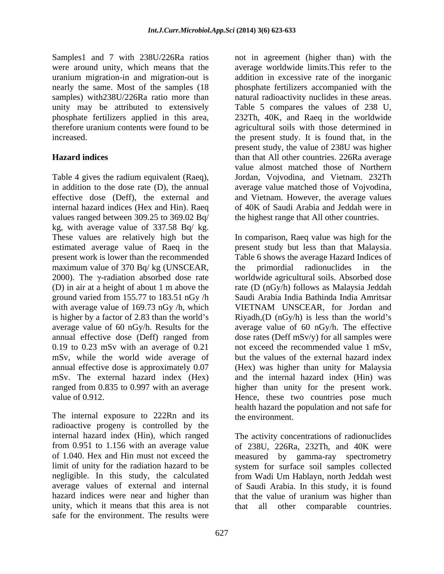uranium migration-in and migration-out is unity may be attributed to extensively

Table 4 gives the radium equivalent (Raeq), in addition to the dose rate (D), the annual average value matched those of Vojvodina, effective dose (Deff), the external and and Vietnam. However, the average values internal hazard indices (Hex and Hin). Raeq of 40K of Saudi Arabia and Jeddah were in values ranged between 309.25 to 369.02 Bq/ kg, with average value of 337.58 Bq/ kg. maximum value of 370 Bq/ kg (UNSCEAR, the primordial radionuclides in the with average value of 169.73 nGy /h, which VIETNAM UNSCEAR, for Jordan and 0.19 to 0.23 mSv with an average of 0.21 mSv, while the world wide average of annual effective dose is approximately 0.07

The internal exposure to 222Rn and its radioactive progeny is controlled by the unity, which it means that this area is not that all other comparable countries. safe for the environment. The results were

Samples1 and 7 with 238U/226Ra ratios not in agreement (higher than) with the were around unity, which means that the average worldwide limits.This refer to the nearly the same. Most of the samples (18 phosphate fertilizers accompanied with the samples) with238U/226Ra ratio more than hatural radioactivity nuclides in these areas. phosphate fertilizers applied in this area, 232Th, 40K, and Raeq in the worldwide therefore uranium contents were found to be agricultural soils with those determined in increased. the present study. It is found that, in the **Hazard indices**  than that All other countries. 226Ra average addition in excessive rate of the inorganic Table 5 compares the values of 238 U, present study, the value of 238U was higher value almost matched those of Northern Jordan, Vojvodina, and Vietnam. 232Th the highest range that All other countries.

These values are relatively high but the In comparison, Raeq value was high for the estimated average value of Raeq in the present study but less than that Malaysia. present work is lower than the recommended Table 6 shows the average Hazard Indices of 2000). The  $\gamma$ -radiation absorbed dose rate worldwide agricultural soils. Absorbed dose (D) in air at a height of about 1 m above the rate (D (nGy/h) follows as Malaysia Jeddah ground varied from 155.77 to 183.51 nGy /h Saudi Arabia India Bathinda India Amritsar is higher by a factor of 2.83 than the world's  $Ny$  Riyadh,(D (nGy/h) is less than the world's average value of 60 nGy/h. Results for the average value of 60 nGy/h. The effective annual effective dose (Deff) ranged from dose rates (Deff mSv/y) for all samples were annual effective dose is approximately 0.07 (Hex) was higher than unity for Malaysia mSv. The external hazard index (Hex) and the internal hazard index (Hin) was ranged from 0.835 to 0.997 with an average higher than unity for the present work. value of 0.912. The same of 0.912. the primordial radionuclides in the VIETNAM UNSCEAR, for Jordan and not exceed the recommended value 1 mSv, but the values of the external hazard index health hazard the population and not safe for the environment.

internal hazard index (Hin), which ranged The activity concentrations of radionuclides from 0.951 to 1.156 with an average value of 238U, 226Ra, 232Th, and 40K were of 1.040. Hex and Hin must not exceed the measured by gamma-ray spectrometry limit of unity for the radiation hazard to be system for surface soil samples collected negligible. In this study, the calculated from Wadi Um Hablayn, north Jeddah west average values of external and internal of Saudi Arabia. In this study, it is found hazard indices were near and higher than that the value of uranium was higher than that all other comparable countries.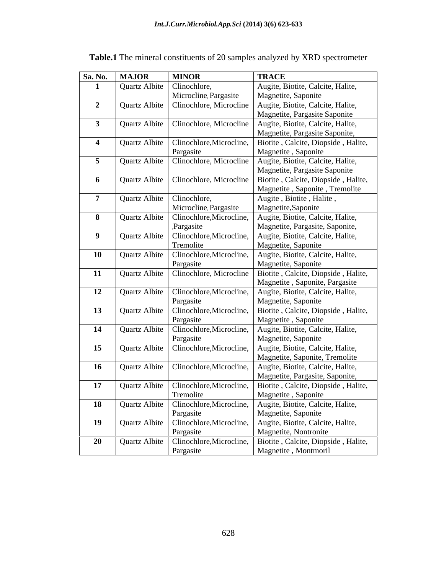| Sa. No.          | <b>MAJOR</b>         | <b>MINOR</b>             | <b>TRACE</b>                        |
|------------------|----------------------|--------------------------|-------------------------------------|
|                  | Quartz Albite        | Clinochlore,             | Augite, Biotite, Calcite, Halite,   |
|                  |                      | Microcline, Pargasite    | Magnetite, Saponite                 |
| $\boldsymbol{2}$ | Quartz Albite        | Clinochlore, Microcline  | Augite, Biotite, Calcite, Halite,   |
|                  |                      |                          | Magnetite, Pargasite Saponite       |
| $\mathbf{3}$     | Quartz Albite        | Clinochlore, Microcline  | Augite, Biotite, Calcite, Halite,   |
|                  |                      |                          | Magnetite, Pargasite Saponite,      |
| 4                | Quartz Albite        | Clinochlore, Microcline, | Biotite, Calcite, Diopside, Halite, |
|                  |                      | Pargasite                | Magnetite, Saponite                 |
| 5 <sup>5</sup>   | Quartz Albite        | Clinochlore, Microcline  | Augite, Biotite, Calcite, Halite,   |
|                  |                      |                          | Magnetite, Pargasite Saponite       |
| 6                | <b>Quartz Albite</b> | Clinochlore, Microcline  | Biotite, Calcite, Diopside, Halite, |
|                  |                      |                          | Magnetite, Saponite, Tremolite      |
| $\overline{7}$   | Quartz Albite        | Clinochlore,             | Augite, Biotite, Halite,            |
|                  |                      | Microcline, Pargasite    | Magnetite, Saponite                 |
| 8                | Quartz Albite        | Clinochlore, Microcline, | Augite, Biotite, Calcite, Halite,   |
|                  |                      | Pargasite                | Magnetite, Pargasite, Saponite,     |
| 9                | Quartz Albite        | Clinochlore, Microcline, | Augite, Biotite, Calcite, Halite,   |
|                  |                      | Tremolite                | Magnetite, Saponite                 |
| 10               | Quartz Albite        | Clinochlore, Microcline, | Augite, Biotite, Calcite, Halite,   |
|                  |                      | Pargasite                | Magnetite, Saponite                 |
| 11               | <b>Quartz Albite</b> | Clinochlore, Microcline  | Biotite, Calcite, Diopside, Halite, |
|                  |                      |                          | Magnetite, Saponite, Pargasite      |
| 12               | Quartz Albite        | Clinochlore, Microcline, | Augite, Biotite, Calcite, Halite,   |
|                  |                      | Pargasite                | Magnetite, Saponite                 |
| 13               | Quartz Albite        | Clinochlore, Microcline, | Biotite, Calcite, Diopside, Halite, |
|                  |                      | Pargasite                | Magnetite, Saponite                 |
| 14               | Quartz Albite        | Clinochlore, Microcline, | Augite, Biotite, Calcite, Halite,   |
|                  |                      | Pargasite                | Magnetite, Saponite                 |
| 15               | Quartz Albite        | Clinochlore, Microcline, | Augite, Biotite, Calcite, Halite,   |
|                  |                      |                          | Magnetite, Saponite, Tremolite      |
| 16               | Quartz Albite        | Clinochlore, Microcline, | Augite, Biotite, Calcite, Halite,   |
|                  |                      |                          | Magnetite, Pargasite, Saponite,     |
| 17               | Quartz Albite        | Clinochlore, Microcline, | Biotite, Calcite, Diopside, Halite, |
|                  |                      | Tremolite                | Magnetite, Saponite                 |
| 18               | Quartz Albite        | Clinochlore, Microcline, | Augite, Biotite, Calcite, Halite,   |
|                  |                      | Pargasite                | Magnetite, Saponite                 |
| 19               | Quartz Albite        | Clinochlore, Microcline, | Augite, Biotite, Calcite, Halite,   |
|                  |                      | Pargasite                | Magnetite, Nontronite               |
| 20               | Quartz Albite        | Clinochlore, Microcline, | Biotite, Calcite, Diopside, Halite, |
|                  |                      | Pargasite                | Magnetite, Montmoril                |

## **Table.1** The mineral constituents of 20 samples analyzed by XRD spectrometer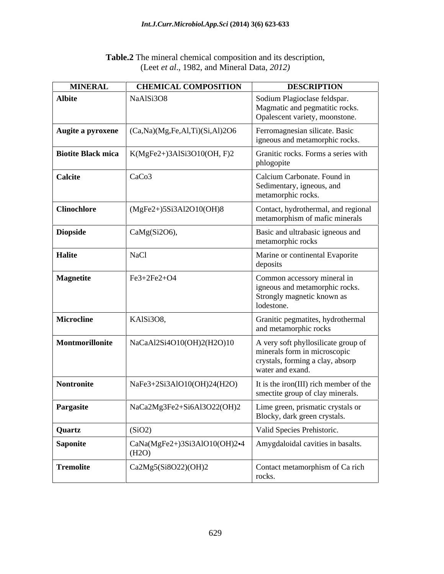| Table.2<br>sition and its description,<br>' compos <sub>1</sub><br>mineral chemical |  |
|-------------------------------------------------------------------------------------|--|
| $\sqrt{ }$<br>1982.<br>2012,<br>and Mineral Data. 20<br>. eet at al<br>. Luci<br>.  |  |

| <b>MINERAL</b>     | <b>CHEMICAL COMPOSITION</b>                                    | <b>DESCRIPTION</b>                                                                                                          |
|--------------------|----------------------------------------------------------------|-----------------------------------------------------------------------------------------------------------------------------|
| <b>Albite</b>      | NaAlSi3O8                                                      | Sodium Plagioclase feldspar.<br>Magmatic and pegmatitic rocks.<br>Opalescent variety, moonstone.                            |
| Augite a pyroxene  | (Ca, Na)(Mg, Fe, Al, Ti)(Si, Al)2O6                            | Ferromagnesian silicate. Basic<br>igneous and metamorphic rocks.                                                            |
| Biotite Black mica | K(MgFe2+)3AlSi3O10(OH, F)2                                     | Granitic rocks. Forms a series with<br>phlogopite                                                                           |
| <b>Calcite</b>     | CaCo <sub>3</sub>                                              | Calcium Carbonate. Found in<br>Sedimentary, igneous, and<br>metamorphic rocks.                                              |
| <b>Clinochlore</b> | $(MgFe2+)5Si3Al2O10(OH)8$                                      | Contact, hydrothermal, and regional<br>metamorphism of mafic minerals                                                       |
| <b>Diopside</b>    | CaMg(Si2O6),                                                   | Basic and ultrabasic igneous and<br>metamorphic rocks                                                                       |
| <b>Halite</b>      | NaCl                                                           | Marine or continental Evaporite<br>deposits                                                                                 |
| <b>Magnetite</b>   | Fe3+2Fe2+O4                                                    | Common accessory mineral in<br>igneous and metamorphic rocks.<br>Strongly magnetic known as<br>lodestone.                   |
| Microcline         | KAlSi3O8,                                                      | Granitic pegmatites, hydrothermal<br>and metamorphic rocks                                                                  |
| Montmorillonite    | NaCaAl2Si4O10(OH)2(H2O)10                                      | A very soft phyllosilicate group of<br>minerals form in microscopic<br>crystals, forming a clay, absorp<br>water and exand. |
| Nontronite         | NaFe3+2Si3AlO10(OH)24(H2O)                                     | It is the iron(III) rich member of the<br>smectite group of clay minerals.                                                  |
| Pargasite          | NaCa2Mg3Fe2+Si6Al3O22(OH)2   Lime green, prismatic crystals or | Blocky, dark green crystals.                                                                                                |
| <b>Quartz</b>      | (SiO2)                                                         | Valid Species Prehistoric.                                                                                                  |
| Saponite           | $\operatorname{CaNa}(MgFe2+)3Si3AlO10(OH)2•4$<br>(H2O)         | Amygdaloidal cavities in basalts.                                                                                           |
| Tremolite          | Ca2Mg5(Si8O22)(OH)2                                            | Contact metamorphism of Ca rich<br>rocks.                                                                                   |
|                    |                                                                |                                                                                                                             |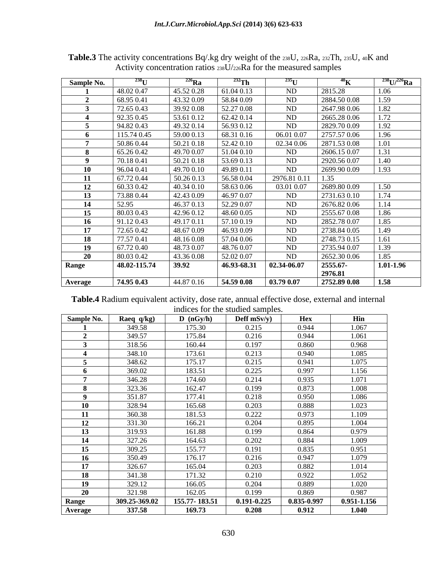| Sample No.   |              | $\mathcal{L}^{\omega}$ Ra |                           |             |                          | $^{238}$ U/ $^{226}$ Ra |
|--------------|--------------|---------------------------|---------------------------|-------------|--------------------------|-------------------------|
|              | 48.02 0.47   | 45.52 0.28                | 51.04 0.13                |             | 2815.28                  |                         |
|              | 68.95 0.41   | 43.32 0.09                | 58.84 0.09                | ND          | 2884.500.08              | 1.50                    |
|              | 72.65 0.43   | 39.92 0.08                | 52.27 0.08                | ND.         | 2647.98 0.06             | 1.82                    |
|              | 92.35 0.45   | 53.61 0.12                | 62.42 0.14                | ND.         | 2665.28 0.06             | $\sqrt{72}$             |
|              | 94.82 0.43   | 49.32 0.14                | 56.93 0.12                | ND.         | 2829.70 0.09             | 1.02                    |
|              | 115.74 0.45  | 59.00 0.13                | 68.31 0.16                | 06.01 0.07  | 2757.57 0.06             | 1.96                    |
|              | 50.860.44    | 50.21 0.18                | 52.42 0.10                | 02.34 0.06  | 2871.53 0.08             | 1.01                    |
|              | 65.26 0.42   | 49.70 0.07                | 1.04 0.10                 | ND          | 2606.15 0.07             |                         |
|              | 70.18 0.41   | 50.21 0.18                | 53.69 0.13                | ND          | 2920.56 0.07             | 1.40                    |
|              | 96.04 0.41   | 49.70 0.10                | 49.89 0.11                | ND          | 2699.90 0.09             | 1.93                    |
|              | 67.72 0.44   | 50.26 0.13                | 56.58 0.04                | 2976.81 0.1 | 1.35                     |                         |
|              | 60.33 0.42   | 40.34 0.10                | 58.63 0.06                | 03.01 0.07  | 2689.80 0.09             | 1,50                    |
| 13           | 73.880.44    | 42.43 0.09                | 46.97 0.07                | ND.         | 2731.63 0.10             |                         |
| 14           | 52.95        | 46.37 0.13                | 52.29 0.07                | ND.         | 2676.82 0.06             |                         |
| 15           | 80.03 0.43   | 42.96 0.12                | 48.60 0.05                | ND.         | 2555.67 0.08             | 1.86                    |
| - 16         | 91.12 0.43   | 49.17 0.11                | 57.10 0.19                | ND.         | 2852.78 0.07             | .85                     |
|              | 72.65 0.42   | 48.67 0.09                | 46.93 0.09                | ND.         | 2738.84 0.05             | 1.49<br>1.61            |
| -18          | 77.57 0.41   | 48.16 0.08                | 57.04 0.06                | ND.         | 2748.73 0.15             |                         |
|              | 67.72 0.40   | 48.73 0.07                | 48.76 0.07                | ND.<br>ND.  | 2735.94 0.07             | 1.39                    |
|              | 80.03 0.42   | 43.36 0.08                | 52.02 0.07<br>46.93-68.31 | 02.34-06.07 | 2652.30 0.06<br>2555.67- | 1.85<br>$1.01 - 1.96$   |
| <b>Range</b> | 48.02-115.74 | 39.92                     |                           |             | 2976.81                  |                         |
|              | 74.95 0.43   | 44.87 0.16                | 54.59 0.08                | 03.79 0.07  | 2752.89 0.08             | $\vert$ 1.58            |
| Average      |              |                           |                           |             |                          |                         |

**Table.3** The activity concentrations Bq/.kg dry weight of the 238U, 226Ra, 232Th, 235U, 40K and Activity concentration ratios 238U/226Ra for the measured samples

| Table.<br>4 Radium<br>equivalent a<br>annual<br>. dose rate<br>external and internal<br>` atta.<br>\Ct1V1tV<br>$\Lambda$ iective $\tau$<br>dose |  |
|-------------------------------------------------------------------------------------------------------------------------------------------------|--|
| samples<br>andices for the $\overline{\phantom{a}}$<br>. studied                                                                                |  |

| Sample No.     | Raeq $q/kg$   | D (nGy/h)     | Deff $mSv/y$    | Hex         | Hin             |
|----------------|---------------|---------------|-----------------|-------------|-----------------|
|                | 349.58        | 175.30        | 0.215           | 0.944       | 1.067           |
| $\overline{a}$ | 349.57        | 175.84        | 0.216           | 0.944       | 1.061           |
|                | 318.56        | 160.44        | 0.197           | 0.860       | 0.968           |
|                | 348.10        | 173.61        | 0.213           | 0.940       | 1.085           |
|                | 348.62        | 175.17        | 0.215           | 0.941       | 1.075           |
|                | 369.02        | 183.51        | 0.225           | 0.997       | 1.156           |
|                | 346.28        | 174.60        | 0.214           | 0.935       | 1.071           |
|                | 323.36        | 162.47        | 0.199           | 0.873       | 1.008           |
|                | 351.87        | 177.41        | 0.218           | 0.950       | 1.086           |
| 10             | 328.94        | 165.68        | 0.203           | 0.888       | 1.023           |
| 11             | 360.38        | 181.53        | 0.222           | 0.973       | 1.109           |
| 12             | 331.30        | 166.21        | 0.204           | 0.895       | 1.004           |
| 13             | 319.93        | 161.88        | 0.199           | 0.864       | 0.979           |
| 14             | 327.26        | 164.63        | 0.202           | 0.884       | 1.009           |
| 15             | 309.25        | 155.77        | 0.191           | 0.835       | 0.951           |
| <b>16</b>      | 350.49        | 176.17        | 0.216           | 0.947       | 1.079           |
| 17             | 326.67        | 165.04        | 0.203           | 0.882       | 1.014           |
| 18             | 341.38        | 171.32        | 0.210           | 0.922       | 1.052           |
| 19             | 329.12        | 166.05        | 0.204           | 0.889       | 1.020           |
| 20             | 321.98        | 162.05        | 0.199           | 0.869       | 0.987           |
| Range          | 309.25-369.02 | 155.77-183.51 | $0.191 - 0.225$ | 0.835-0.997 | $0.951 - 1.156$ |
| Average        | 337.58        | 169.73        | 0.208           | 0.912       | 1.040           |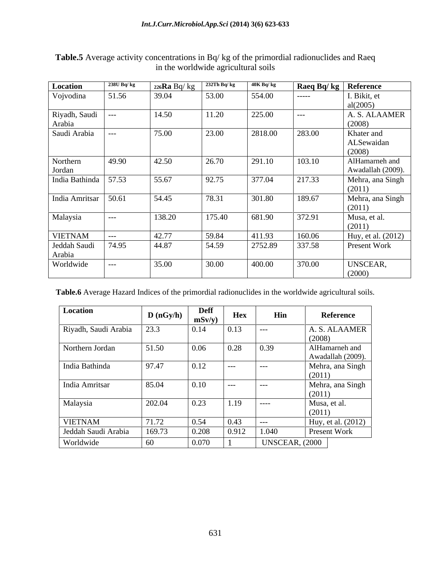| Location                | 238U Bq/kg | $226$ <b>Ra</b> Bq/kg | 232Th Bq/kg | $40K$ Bq/kg | Raeq Bq/kg | Reference                           |
|-------------------------|------------|-----------------------|-------------|-------------|------------|-------------------------------------|
| Vojvodina               | 51.56      | 39.04                 | 53.00       | 554.00      | -----      | I. Bikit, et<br>al(2005)            |
| Riyadh, Saudi<br>Arabia | ---        | 14.50                 | 11.20       | 225.00      | $---$      | A. S. ALAAMER<br>(2008)             |
| Saudi Arabia            | ---        | 75.00                 | 23.00       | 2818.00     | 283.00     | Khater and<br>ALSewaidan<br>(2008)  |
| Northern<br>Jordan      | 49.90      | 42.50                 | 26.70       | 291.10      | 103.10     | AlHamarneh and<br>Awadallah (2009). |
| India Bathinda          | 57.53      | 55.67                 | 92.75       | 377.04      | 217.33     | Mehra, ana Singh<br>(2011)          |
| India Amritsar          | 50.61      | 54.45                 | 78.31       | 301.80      | 189.67     | Mehra, ana Singh<br>(2011)          |
| Malaysia                | $---$      | 138.20                | 175.40      | 681.90      | 372.91     | Musa, et al.<br>(2011)              |
| <b>VIETNAM</b>          | $---$      | 42.77                 | 59.84       | 411.93      | 160.06     | Huy, et al. (2012)                  |
| Jeddah Saudi<br>Arabia  | 74.95      | 44.87                 | 54.59       | 2752.89     | 337.58     | Present Work                        |
| Worldwide               | $---$      | 35.00                 | 30.00       | 400.00      | 370.00     | UNSCEAR,<br>(2000)                  |

## **Table.5** Average activity concentrations in Bq/ kg of the primordial radionuclides and Raeq in the worldwide agricultural soils

**Table.6** Average Hazard Indices of the primordial radionuclides in the worldwide agricultural soils.

| Location             | D(nGy/h) | <b>Deff</b><br>mSv/y | Hex   | Hin            | Reference                           |
|----------------------|----------|----------------------|-------|----------------|-------------------------------------|
| Riyadh, Saudi Arabia | 23.3     | 0.14                 | 0.13  | $---$          | A. S. ALAAMER<br>(2008)             |
| Northern Jordan      | 51.50    | 0.06                 | 0.28  | 0.39           | AlHamarneh and<br>Awadallah (2009). |
| India Bathinda       | 97.47    | 0.12                 | $---$ | $---$          | Mehra, ana Singh<br>(2011)          |
| India Amritsar       | 85.04    | 0.10                 | $---$ | $---$          | Mehra, ana Singh<br>(2011)          |
| Malaysia             | 202.04   | 0.23                 | 1.19  | $---$          | Musa, et al.<br>(2011)              |
| <b>VIETNAM</b>       | 71.72    | 0.54                 | 0.43  | $---$          | Huy, et al. (2012)                  |
| Jeddah Saudi Arabia  | 169.73   | 0.208                | 0.912 | 1.040          | <b>Present Work</b>                 |
| Worldwide            | 60       | 0.070                |       | UNSCEAR, (2000 |                                     |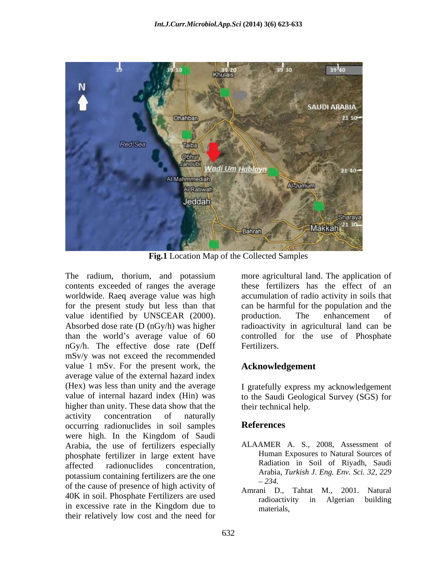

**Fig.1** Location Map of the Collected Samples

contents exceeded of ranges the average worldwide. Raeq average value was high for the present study but less than that value identified by UNSCEAR (2000). by production. The enhancement of Absorbed dose rate (D (nGy/h) was higher nGy/h. The effective dose rate (Deff mSv/y was not exceed the recommended value 1 mSv. For the present work, the average value of the external hazard index (Hex) was less than unity and the average value of internal hazard index (Hin) was to the Saudi Geological Survey (SGS) for higher than unity. These data show that the activity concentration of naturally occurring radionuclides in soil samples References were high. In the Kingdom of Saudi Arabia, the use of fertilizers especially phosphate fertilizer in large extent have affected radionuclides concentration, Radiation in Soil of Riyadh, Saudi potassium containing fertilizers are the one  $-234$ . of the cause of presence of high activity of  $\overline{P}$   $2.54$ . Tahtat M., 2001. Natural 40K in soil. Phosphate Fertilizers are used<br>radioactivity in Algerian building in excessive rate in the Kingdom due to their relatively low cost and the need for

The radium, thorium, and potassium more agricultural land. The application of than the world's average value of 60 controlled for the use of Phosphate these fertilizers has the effect of an accumulation of radio activity in soils that can be harmful for the population and the production. The enhancement of radioactivity in agricultural land can be Fertilizers.

## **Acknowledgement**

I gratefully express my acknowledgement their technical help.

## **References**

- ALAAMER A. S., 2008, Assessment of Human Exposures to Natural Sources of Radiation in Soil of Riyadh, Saudi Arabia, *Turkish J. Eng. Env. Sci. 32, 229 234.*
- Amrani D., Tahtat M., radioactivity in Algerian building materials,